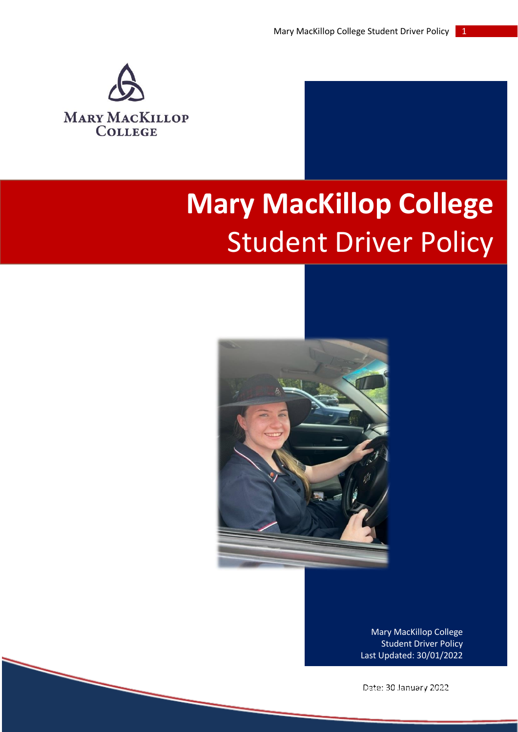

# **Mary MacKillop College**  Student Driver Policy



Mary MacKillop College Student Driver Policy Last Updated: 30/01/2022

Date: 30 January 2022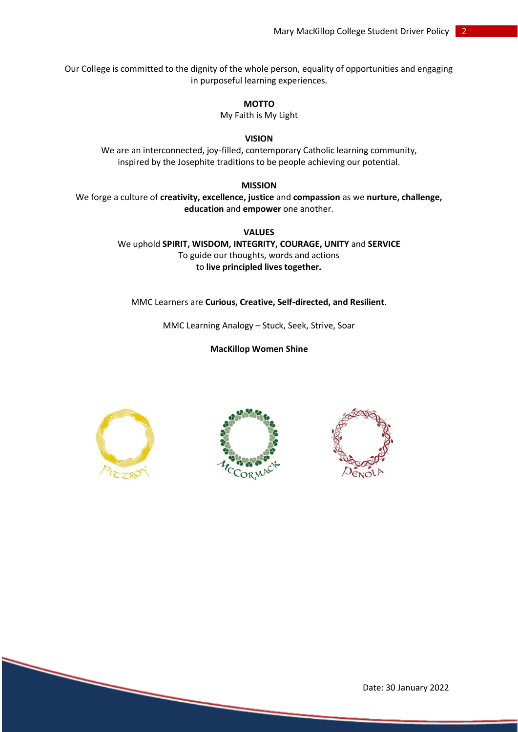Our College is committed to the dignity of the whole person, equality of opportunities and engaging in purposeful learning experiences.

**MOTTO**

My Faith is My Light

#### **VISION**

We are an interconnected, joy-filled, contemporary Catholic learning community, inspired by the Josephite traditions to be people achieving our potential.

### **MISSION**

We forge a culture of **creativity, excellence, justice** and **compassion** as we **nurture, challenge, education** and **empower** one another.

> **VALUES** We uphold **SPIRIT, WISDOM, INTEGRITY, COURAGE, UNITY** and **SERVICE** To guide our thoughts, words and actions to **live principled lives together.**

MMC Learners are **Curious, Creative, Self-directed, and Resilient**.

MMC Learning Analogy – Stuck, Seek, Strive, Soar

**MacKillop Women Shine**